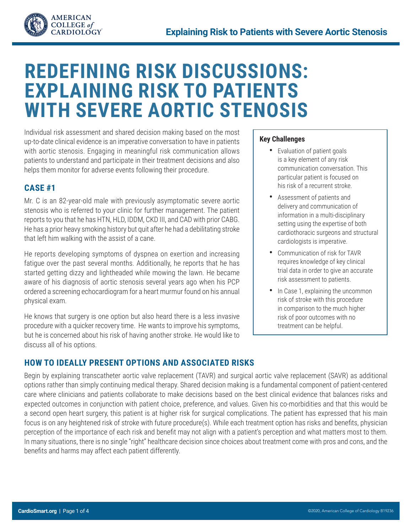

# **REDEFINING RISK DISCUSSIONS: EXPLAINING RISK TO PATIENTS WITH SEVERE AORTIC STENOSIS**

Individual risk assessment and shared decision making based on the most up-to-date clinical evidence is an imperative conversation to have in patients with aortic stenosis. Engaging in meaningful risk communication allows patients to understand and participate in their treatment decisions and also helps them monitor for adverse events following their procedure.

# **CASE #1**

Mr. C is an 82-year-old male with previously asymptomatic severe aortic stenosis who is referred to your clinic for further management. The patient reports to you that he has HTN, HLD, IDDM, CKD III, and CAD with prior CABG. He has a prior heavy smoking history but quit after he had a debilitating stroke that left him walking with the assist of a cane.

He reports developing symptoms of dyspnea on exertion and increasing fatigue over the past several months. Additionally, he reports that he has started getting dizzy and lightheaded while mowing the lawn. He became aware of his diagnosis of aortic stenosis several years ago when his PCP ordered a screening echocardiogram for a heart murmur found on his annual physical exam.

He knows that surgery is one option but also heard there is a less invasive procedure with a quicker recovery time. He wants to improve his symptoms, but he is concerned about his risk of having another stroke. He would like to discuss all of his options.

#### **Key Challenges**

- **•** Evaluation of patient goals is a key element of any risk communication conversation. This particular patient is focused on his risk of a recurrent stroke.
- **•** Assessment of patients and delivery and communication of information in a multi-disciplinary setting using the expertise of both cardiothoracic surgeons and structural cardiologists is imperative.
- **•** Communication of risk for TAVR requires knowledge of key clinical trial data in order to give an accurate risk assessment to patients.
- **•** In Case 1, explaining the uncommon risk of stroke with this procedure in comparison to the much higher risk of poor outcomes with no treatment can be helpful.

# **HOW TO IDEALLY PRESENT OPTIONS AND ASSOCIATED RISKS**

Begin by explaining transcatheter aortic valve replacement (TAVR) and surgical aortic valve replacement (SAVR) as additional options rather than simply continuing medical therapy. Shared decision making is a fundamental component of patient-centered care where clinicians and patients collaborate to make decisions based on the best clinical evidence that balances risks and expected outcomes in conjunction with patient choice, preference, and values. Given his co-morbidities and that this would be a second open heart surgery, this patient is at higher risk for surgical complications. The patient has expressed that his main focus is on any heightened risk of stroke with future procedure(s). While each treatment option has risks and benefits, physician perception of the importance of each risk and benefit may not align with a patient's perception and what matters most to them. In many situations, there is no single "right" healthcare decision since choices about treatment come with pros and cons, and the benefits and harms may affect each patient differently.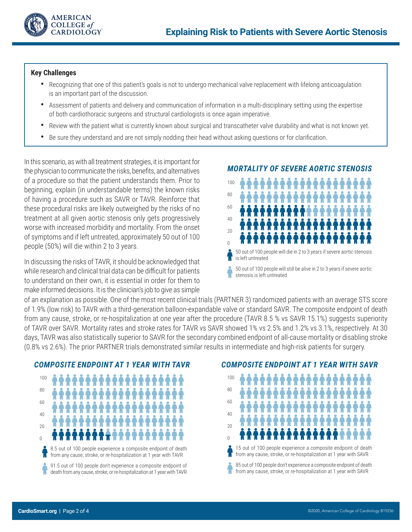

#### **Key Challenges**

- **•** Recognizing that one of this patient's goals is not to undergo mechanical valve replacement with lifelong anticoagulation is an important part of the discussion.
- **•** Assessment of patients and delivery and communication of information in a multi-disciplinary setting using the expertise of both cardiothoracic surgeons and structural cardiologists is once again imperative.
- **•** Review with the patient what is currently known about surgical and transcatheter valve durability and what is not known yet.
- **•** Be sure they understand and are not simply nodding their head without asking questions or for clarification.

In this scenario, as with all treatment strategies, it is important for the physician to communicate the risks, benefits, and alternatives of a procedure so that the patient understands them. Prior to beginning, explain (in understandable terms) the known risks of having a procedure such as SAVR or TAVR. Reinforce that these procedural risks are likely outweighed by the risks of no treatment at all given aortic stenosis only gets progressively worse with increased morbidity and mortality. From the onset of symptoms and if left untreated, approximately 50 out of 100 people (50%) will die within 2 to 3 years.

In discussing the risks of TAVR, it should be acknowledged that while research and clinical trial data can be difficult for patients to understand on their own, it is essential in order for them to make informed decisions. It is the clinician's job to give as simple

#### *MORTALITY OF SEVERE AORTIC STENOSIS*



50 out of 100 people will still be alive in 2 to 3 years if severe aortic stenosis is left untreated

of an explanation as possible. One of the most recent clinical trials (PARTNER 3) randomized patients with an average STS score of 1.9% (low risk) to TAVR with a third-generation balloon-expandable valve or standard SAVR. The composite endpoint of death from any cause, stroke, or re-hospitalization at one year after the procedure (TAVR 8.5 % vs SAVR 15.1%) suggests superiority of TAVR over SAVR. Mortality rates and stroke rates for TAVR vs SAVR showed 1% vs 2.5% and 1.2% vs 3.1%, respectively. At 30 days, TAVR was also statistically superior to SAVR for the secondary combined endpoint of all-cause mortality or disabling stroke (0.8% vs 2.6%). The prior PARTNER trials demonstrated similar results in intermediate and high-risk patients for surgery.



#### *COMPOSITE ENDPOINT AT 1 YEAR WITH SAVR*

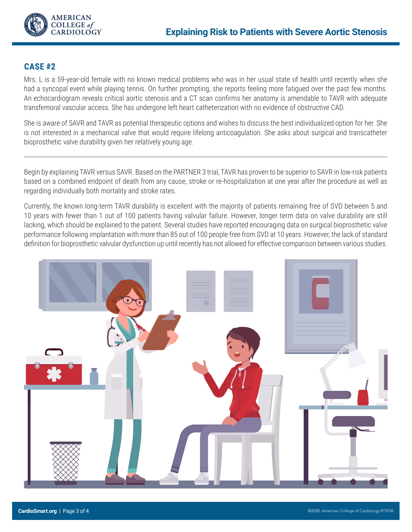

## **CASE #2**

Mrs. L is a 59-year-old female with no known medical problems who was in her usual state of health until recently when she had a syncopal event while playing tennis. On further prompting, she reports feeling more fatigued over the past few months. An echocardiogram reveals critical aortic stenosis and a CT scan confirms her anatomy is amendable to TAVR with adequate transfemoral vascular access. She has undergone left heart catheterization with no evidence of obstructive CAD.

She is aware of SAVR and TAVR as potential therapeutic options and wishes to discuss the best individualized option for her. She is not interested in a mechanical valve that would require lifelong anticoagulation. She asks about surgical and transcatheter bioprosthetic valve durability given her relatively young age.

Begin by explaining TAVR versus SAVR. Based on the PARTNER 3 trial, TAVR has proven to be superior to SAVR in low-risk patients based on a combined endpoint of death from any cause, stroke or re-hospitalization at one year after the procedure as well as regarding individually both mortality and stroke rates.

Currently, the known long-term TAVR durability is excellent with the majority of patients remaining free of SVD between 5 and 10 years with fewer than 1 out of 100 patients having valvular failure. However, longer term data on valve durability are still lacking, which should be explained to the patient. Several studies have reported encouraging data on surgical bioprosthetic valve performance following implantation with more than 85 out of 100 people free from SVD at 10 years. However, the lack of standard definition for bioprosthetic valvular dysfunction up until recently has not allowed for effective comparison between various studies.